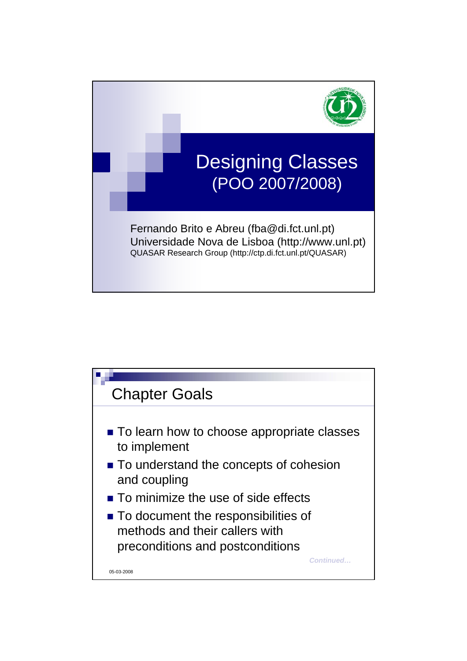

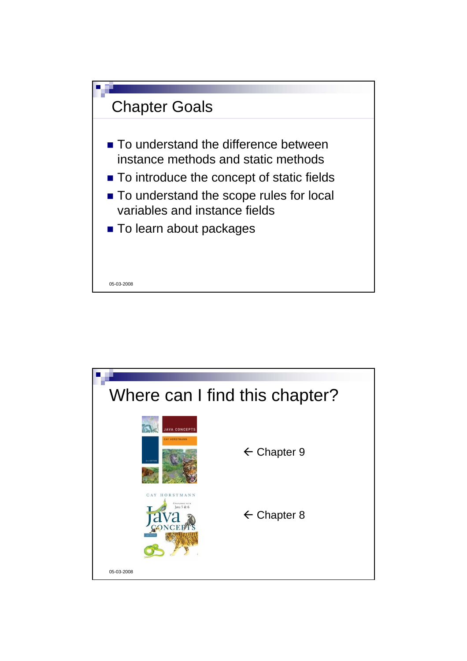

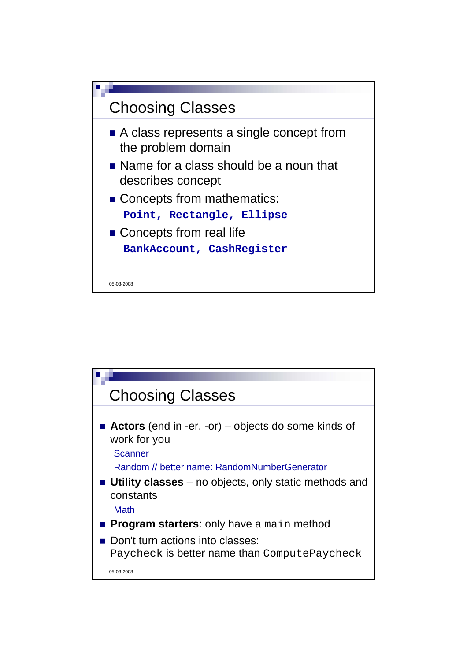

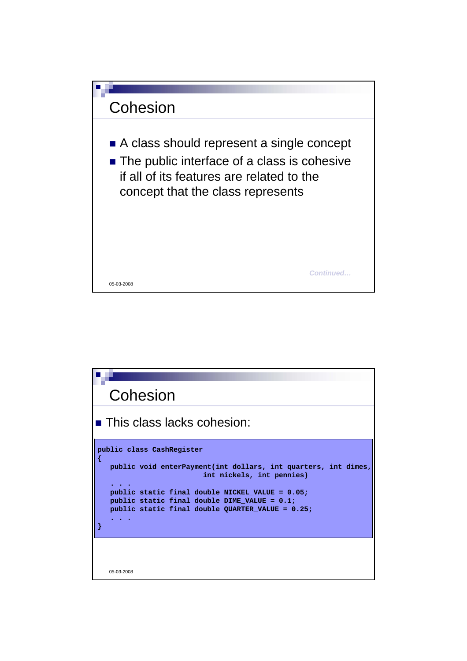

| Cohesion                                                                                                                                                                                                                                                                           |
|------------------------------------------------------------------------------------------------------------------------------------------------------------------------------------------------------------------------------------------------------------------------------------|
| $\blacksquare$ This class lacks cohesion:                                                                                                                                                                                                                                          |
| public class CashRegister<br>public void enterPayment(int dollars, int quarters, int dimes,<br>int nickels, int pennies)<br>public static final double NICKEL VALUE = 0.05;<br>public static final double DIME VALUE = $0.1$ ;<br>public static final double QUARTER VALUE = 0.25; |
| 05-03-2008                                                                                                                                                                                                                                                                         |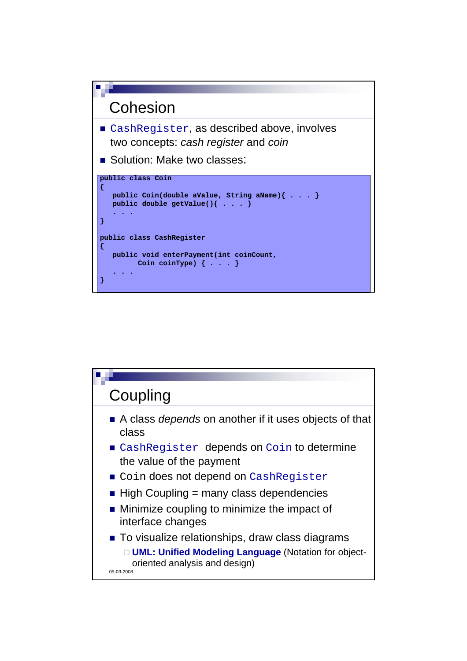

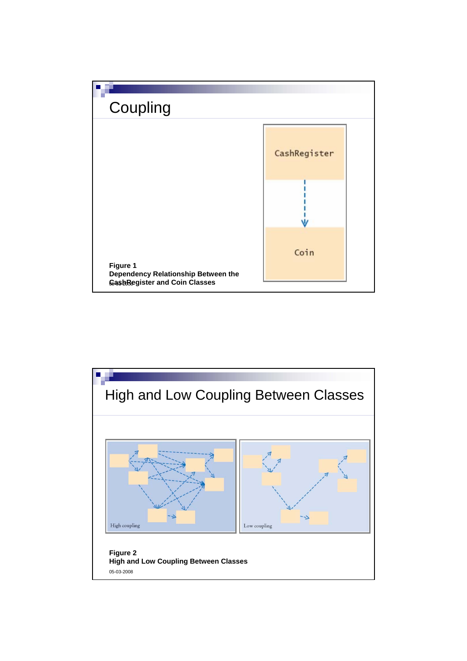

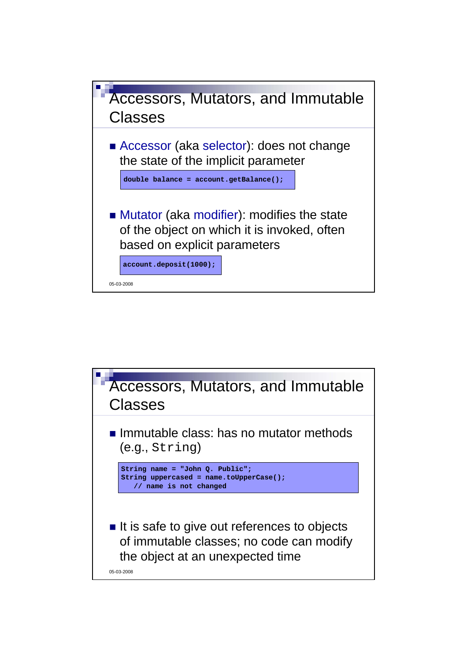

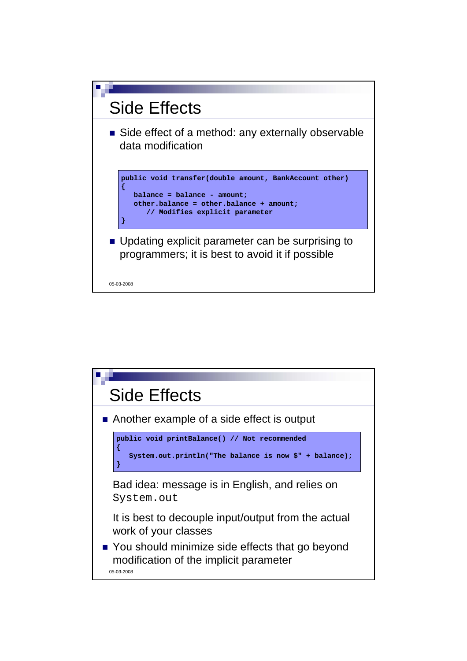

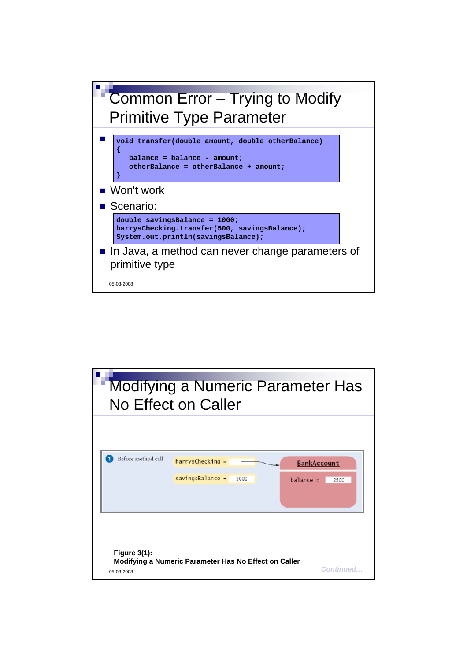

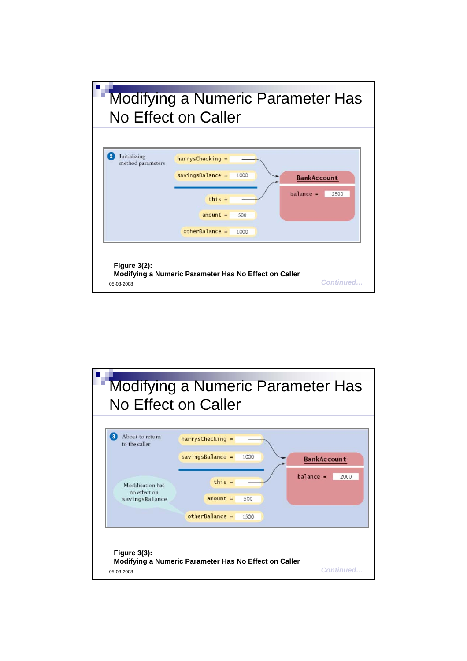

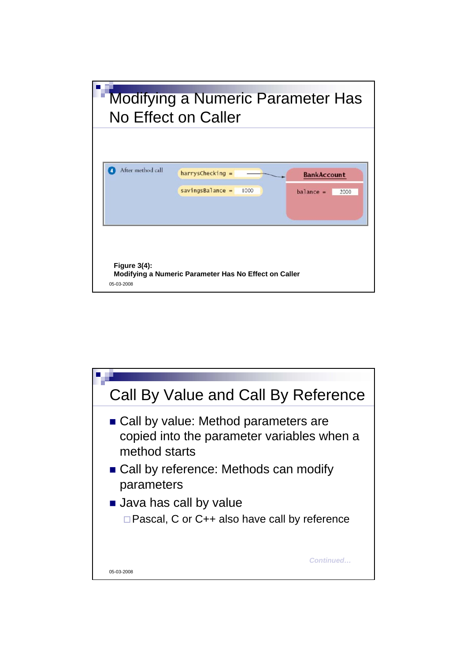

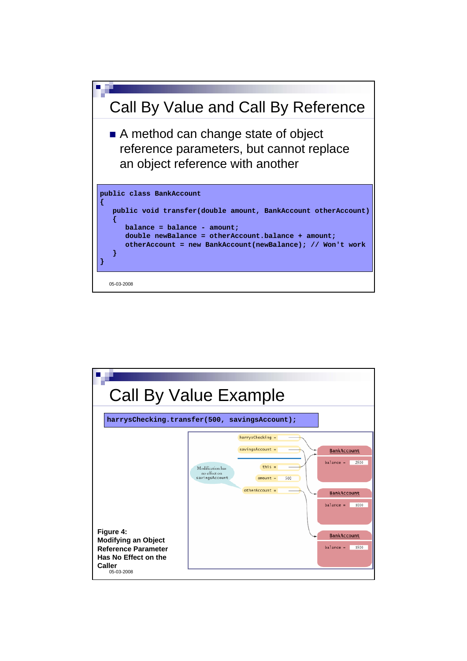

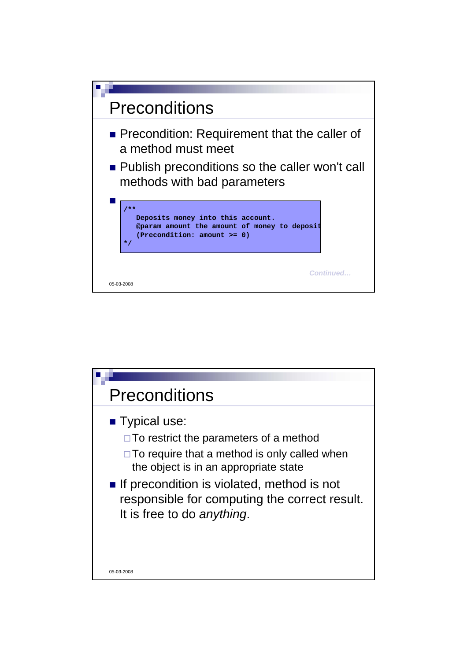

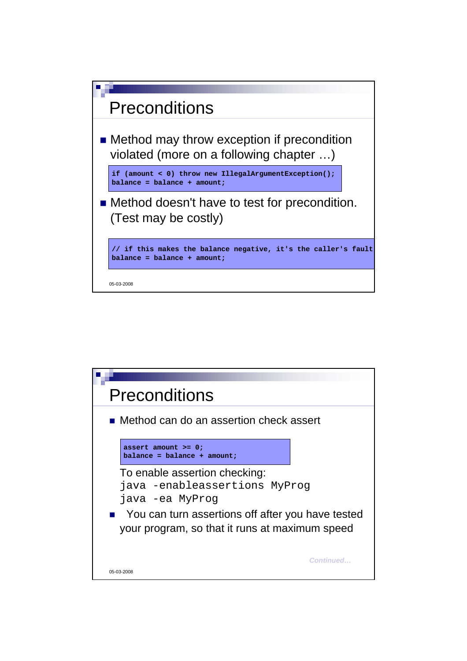

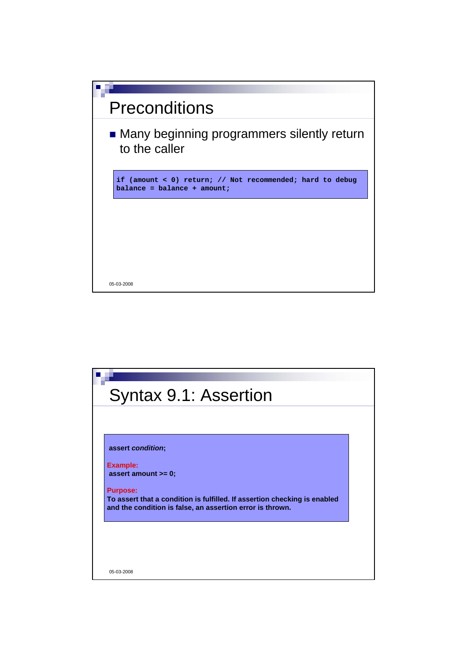

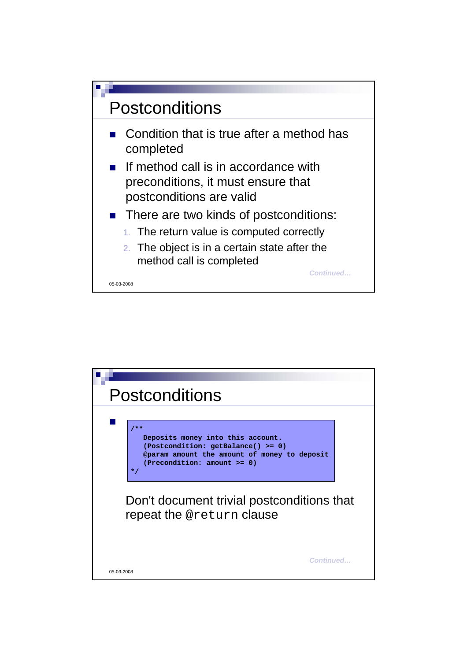

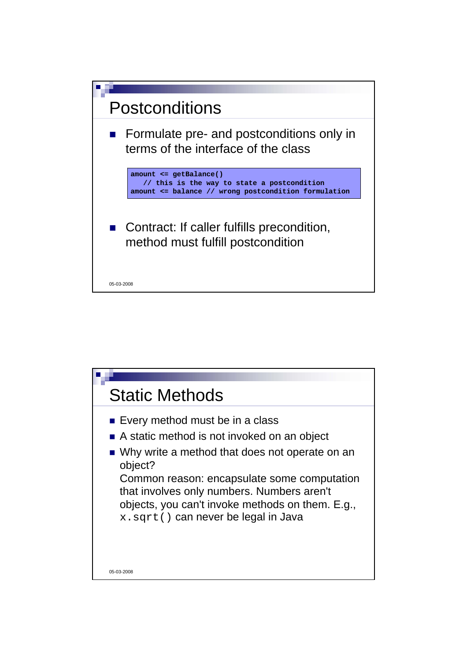

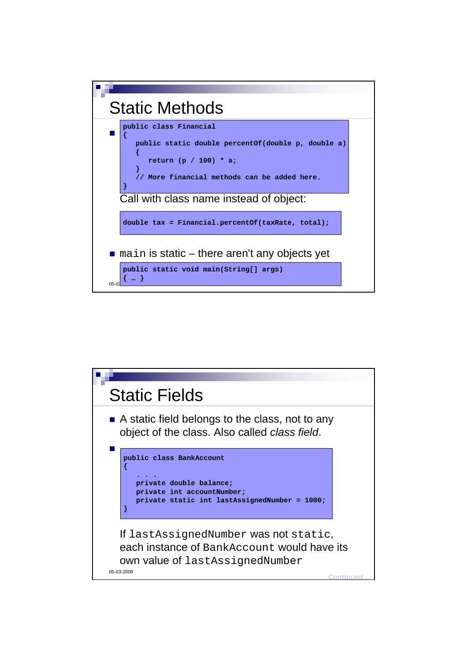

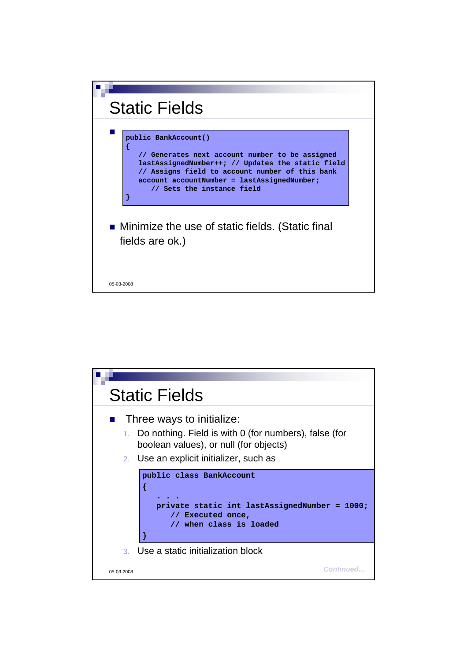

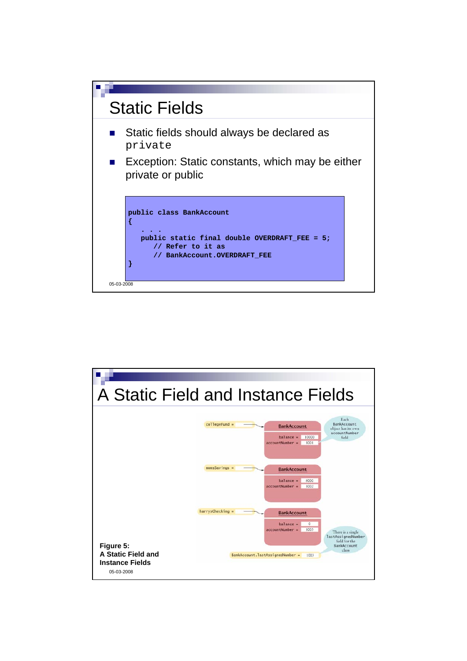

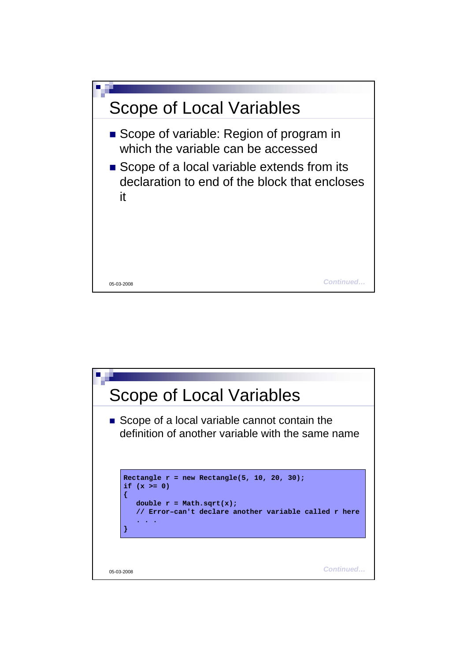

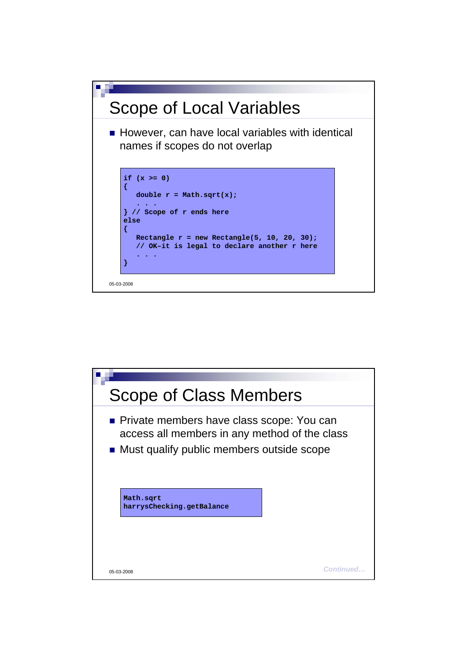

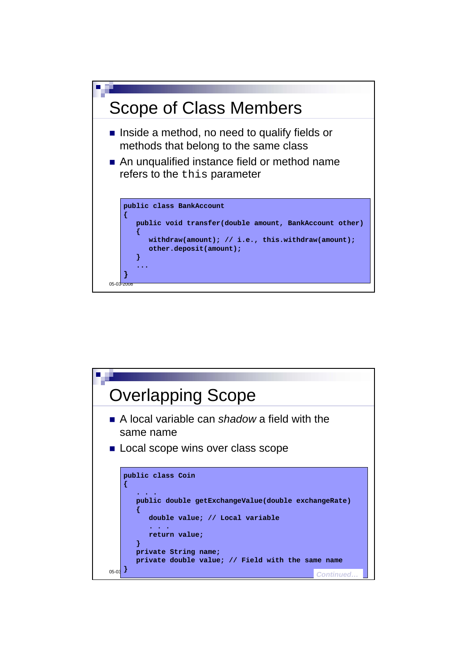

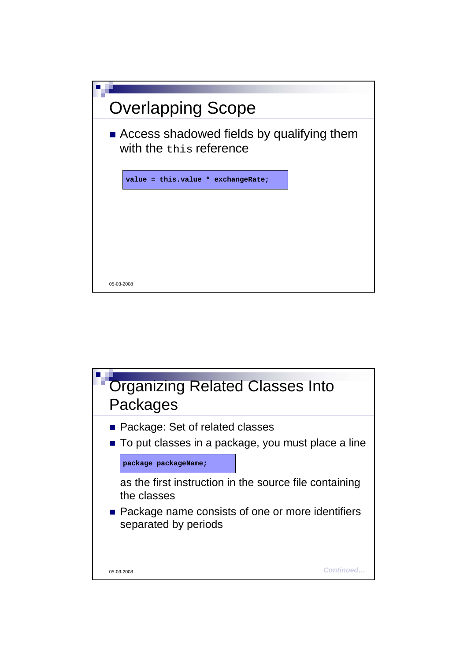

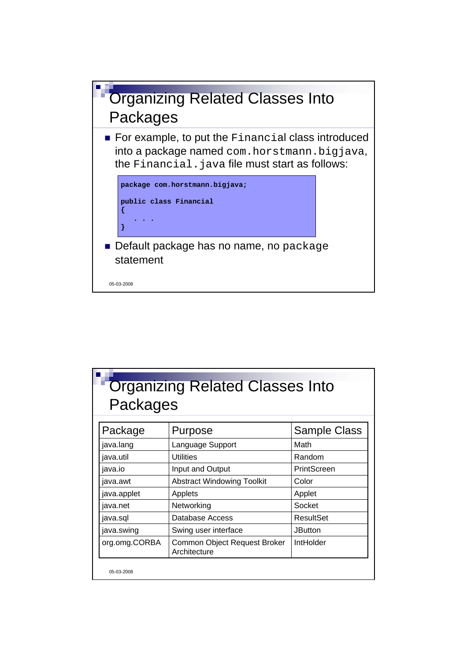

| Packages      |                                              |                     |  |
|---------------|----------------------------------------------|---------------------|--|
| Package       | Purpose                                      | <b>Sample Class</b> |  |
| java.lang     | Language Support                             | Math                |  |
| java.util     | Utilities                                    | Random              |  |
| java.io       | Input and Output                             | PrintScreen         |  |
| java.awt      | <b>Abstract Windowing Toolkit</b>            | Color               |  |
| java.applet   | Applets                                      | Applet              |  |
| java.net      | Networking                                   | Socket              |  |
| java.sql      | Database Access                              | <b>ResultSet</b>    |  |
| java.swing    | Swing user interface                         | <b>JButton</b>      |  |
| org.omg.CORBA | Common Object Request Broker<br>Architecture | IntHolder           |  |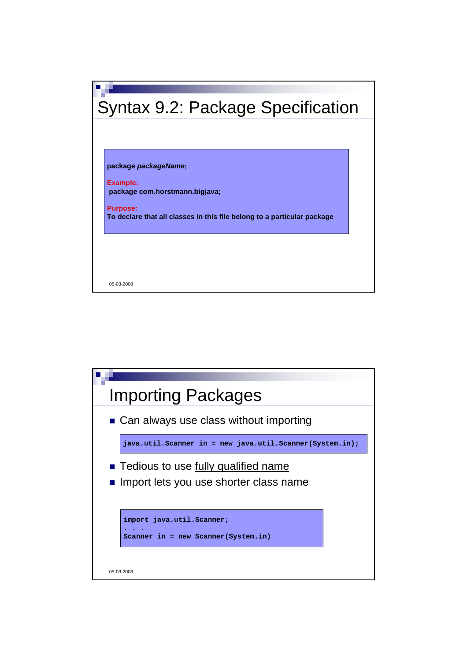

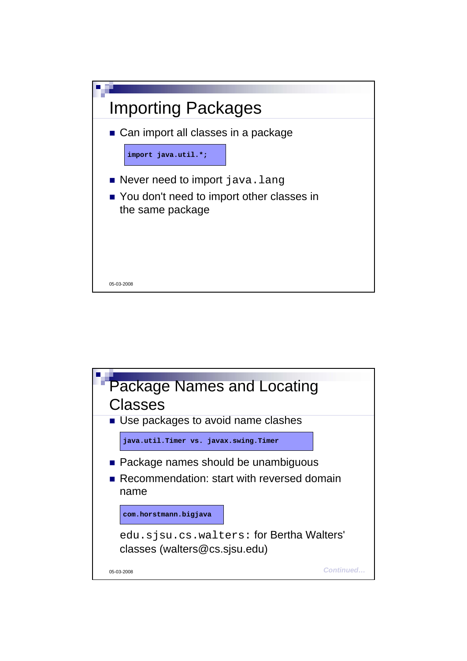